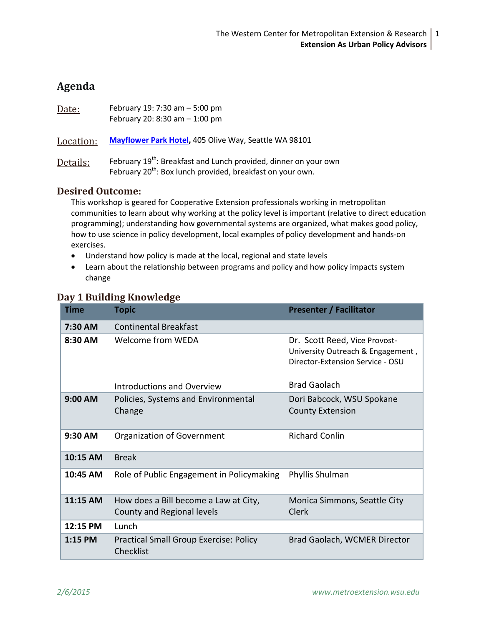## **Agenda**

| Date:     | February 19: 7:30 am - 5:00 pm<br>February 20: 8:30 am $-$ 1:00 pm                                                                                     |
|-----------|--------------------------------------------------------------------------------------------------------------------------------------------------------|
| Location: | Mayflower Park Hotel, 405 Olive Way, Seattle WA 98101                                                                                                  |
| Details:  | February 19 <sup>th</sup> : Breakfast and Lunch provided, dinner on your own<br>February 20 <sup>th</sup> : Box lunch provided, breakfast on your own. |

## **Desired Outcome:**

This workshop is geared for Cooperative Extension professionals working in metropolitan communities to learn about why working at the policy level is important (relative to direct education programming); understanding how governmental systems are organized, what makes good policy, how to use science in policy development, local examples of policy development and hands-on exercises.

- Understand how policy is made at the local, regional and state levels
- Learn about the relationship between programs and policy and how policy impacts system change

| <b>Time</b> | <b>Topic</b>                                                        | <b>Presenter / Facilitator</b>                                                                         |
|-------------|---------------------------------------------------------------------|--------------------------------------------------------------------------------------------------------|
| 7:30 AM     | <b>Continental Breakfast</b>                                        |                                                                                                        |
| 8:30 AM     | Welcome from WEDA                                                   | Dr. Scott Reed, Vice Provost-<br>University Outreach & Engagement,<br>Director-Extension Service - OSU |
|             | <b>Introductions and Overview</b>                                   | Brad Gaolach                                                                                           |
| $9:00$ AM   | Policies, Systems and Environmental<br>Change                       | Dori Babcock, WSU Spokane<br><b>County Extension</b>                                                   |
| $9:30$ AM   | Organization of Government                                          | <b>Richard Conlin</b>                                                                                  |
| 10:15 AM    | <b>Break</b>                                                        |                                                                                                        |
| 10:45 AM    | Role of Public Engagement in Policymaking                           | Phyllis Shulman                                                                                        |
| 11:15 AM    | How does a Bill become a Law at City,<br>County and Regional levels | Monica Simmons, Seattle City<br><b>Clerk</b>                                                           |
| 12:15 PM    | Lunch                                                               |                                                                                                        |
| 1:15 PM     | <b>Practical Small Group Exercise: Policy</b><br>Checklist          | Brad Gaolach, WCMER Director                                                                           |

## **Day 1 Building Knowledge**